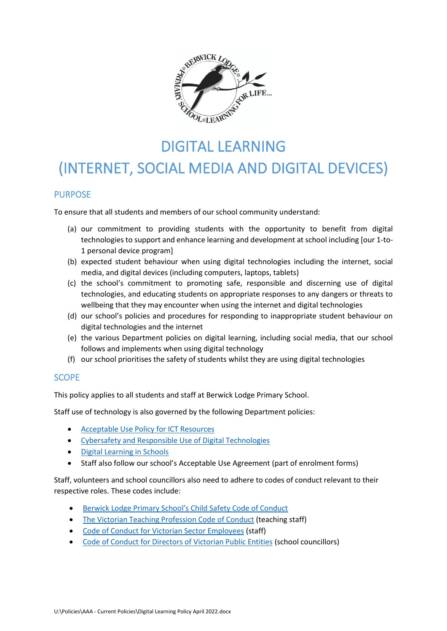

# DIGITAL LEARNING (INTERNET, SOCIAL MEDIA AND DIGITAL DEVICES)

# **PURPOSE**

To ensure that all students and members of our school community understand:

- (a) our commitment to providing students with the opportunity to benefit from digital technologies to support and enhance learning and development at school including [our 1-to-1 personal device program]
- (b) expected student behaviour when using digital technologies including the internet, social media, and digital devices (including computers, laptops, tablets)
- (c) the school's commitment to promoting safe, responsible and discerning use of digital technologies, and educating students on appropriate responses to any dangers or threats to wellbeing that they may encounter when using the internet and digital technologies
- (d) our school's policies and procedures for responding to inappropriate student behaviour on digital technologies and the internet
- (e) the various Department policies on digital learning, including social media, that our school follows and implements when using digital technology
- (f) our school prioritises the safety of students whilst they are using digital technologies

## SCOPE

This policy applies to all students and staff at Berwick Lodge Primary School.

Staff use of technology is also governed by the following Department policies:

- [Acceptable Use Policy](https://www2.education.vic.gov.au/pal/ict-acceptable-use/overview) for ICT Resources
- [Cybersafety and Responsible Use of Digital Technologies](https://www2.education.vic.gov.au/pal/cybersafety/policy)
- [Digital Learning in Schools](https://www2.education.vic.gov.au/pal/digital-learning/policy)
- Staff also follow our school's Acceptable Use Agreement (part of enrolment forms)

Staff, volunteers and school councillors also need to adhere to codes of conduct relevant to their respective roles. These codes include:

- Berwick Lodge Primary School's Child [Safety Code of Conduct](https://sentral.berwicklodgeps.vic.edu.au/documents/school/#select,29)
- [The Victorian Teaching Profession Code of Conduct](https://www.vit.vic.edu.au/__data/assets/pdf_file/0018/35604/Code-of-Conduct-2016.pdf) (teaching staff)
- [Code of Conduct for Victorian Sector Employees](https://www2.education.vic.gov.au/pal/code-conduct/overview) (staff)
- [Code of Conduct for Directors of Victorian Public Entities](https://www2.education.vic.gov.au/pal/school-council-conduct/policy) (school councillors)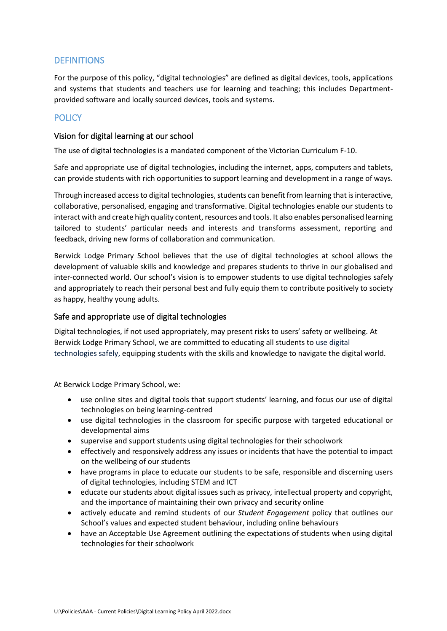# **DEFINITIONS**

For the purpose of this policy, "digital technologies" are defined as digital devices, tools, applications and systems that students and teachers use for learning and teaching; this includes Departmentprovided software and locally sourced devices, tools and systems.

# POLICY

#### Vision for digital learning at our school

The use of digital technologies is a mandated component of the Victorian Curriculum F-10.

Safe and appropriate use of digital technologies, including the internet, apps, computers and tablets, can provide students with rich opportunities to support learning and development in a range of ways.

Through increased access to digital technologies, students can benefit from learning that is interactive, collaborative, personalised, engaging and transformative. Digital technologies enable our students to interact with and create high quality content, resources and tools. It also enables personalised learning tailored to students' particular needs and interests and transforms assessment, reporting and feedback, driving new forms of collaboration and communication.

Berwick Lodge Primary School believes that the use of digital technologies at school allows the development of valuable skills and knowledge and prepares students to thrive in our globalised and inter-connected world. Our school's vision is to empower students to use digital technologies safely and appropriately to reach their personal best and fully equip them to contribute positively to society as happy, healthy young adults.

#### Safe and appropriate use of digital technologies

Digital technologies, if not used appropriately, may present risks to users' safety or wellbeing. At Berwick Lodge Primary School, we are committed to educating all students to use digital technologies safely, equipping students with the skills and knowledge to navigate the digital world.

At Berwick Lodge Primary School, we:

- use online sites and digital tools that support students' learning, and focus our use of digital technologies on being learning-centred
- use digital technologies in the classroom for specific purpose with targeted educational or developmental aims
- supervise and support students using digital technologies for their schoolwork
- effectively and responsively address any issues or incidents that have the potential to impact on the wellbeing of our students
- have programs in place to educate our students to be safe, responsible and discerning users of digital technologies, including STEM and ICT
- educate our students about digital issues such as privacy, intellectual property and copyright, and the importance of maintaining their own privacy and security online
- actively educate and remind students of our *Student Engagement* policy that outlines our School's values and expected student behaviour, including online behaviours
- have an Acceptable Use Agreement outlining the expectations of students when using digital technologies for their schoolwork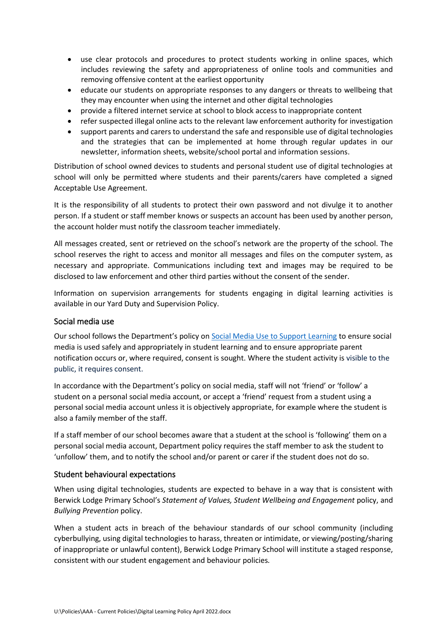- use clear protocols and procedures to protect students working in online spaces, which includes reviewing the safety and appropriateness of online tools and communities and removing offensive content at the earliest opportunity
- educate our students on appropriate responses to any dangers or threats to wellbeing that they may encounter when using the internet and other digital technologies
- provide a filtered internet service at school to block access to inappropriate content
- refer suspected illegal online acts to the relevant law enforcement authority for investigation
- support parents and carers to understand the safe and responsible use of digital technologies and the strategies that can be implemented at home through regular updates in our newsletter, information sheets, website/school portal and information sessions.

Distribution of school owned devices to students and personal student use of digital technologies at school will only be permitted where students and their parents/carers have completed a signed Acceptable Use Agreement.

It is the responsibility of all students to protect their own password and not divulge it to another person. If a student or staff member knows or suspects an account has been used by another person, the account holder must notify the classroom teacher immediately.

All messages created, sent or retrieved on the school's network are the property of the school. The school reserves the right to access and monitor all messages and files on the computer system, as necessary and appropriate. Communications including text and images may be required to be disclosed to law enforcement and other third parties without the consent of the sender.

Information on supervision arrangements for students engaging in digital learning activities is available in our Yard Duty and Supervision Policy.

#### Social media use

Our school follows the Department's policy on [Social Media Use to Support Learning](https://www2.education.vic.gov.au/pal/social-media/policy) to ensure social media is used safely and appropriately in student learning and to ensure appropriate parent notification occurs or, where required, consent is sought. Where the student activity is visible to the public, it requires consent.

In accordance with the Department's policy on social media, staff will not 'friend' or 'follow' a student on a personal social media account, or accept a 'friend' request from a student using a personal social media account unless it is objectively appropriate, for example where the student is also a family member of the staff.

If a staff member of our school becomes aware that a student at the school is 'following' them on a personal social media account, Department policy requires the staff member to ask the student to 'unfollow' them, and to notify the school and/or parent or carer if the student does not do so.

#### Student behavioural expectations

When using digital technologies, students are expected to behave in a way that is consistent with Berwick Lodge Primary School's *Statement of Values, Student Wellbeing and Engagement* policy, and *Bullying Prevention* policy.

When a student acts in breach of the behaviour standards of our school community (including cyberbullying, using digital technologies to harass, threaten or intimidate, or viewing/posting/sharing of inappropriate or unlawful content), Berwick Lodge Primary School will institute a staged response, consistent with our student engagement and behaviour policies*.*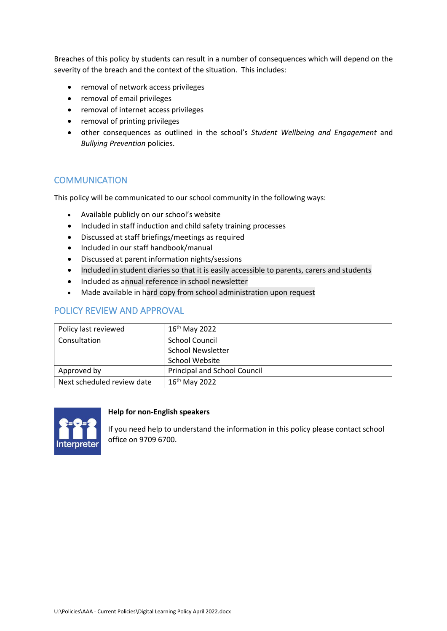Breaches of this policy by students can result in a number of consequences which will depend on the severity of the breach and the context of the situation. This includes:

- removal of network access privileges
- removal of email privileges
- removal of internet access privileges
- removal of printing privileges
- other consequences as outlined in the school's *Student Wellbeing and Engagement* and *Bullying Prevention* policies.

## **COMMUNICATION**

This policy will be communicated to our school community in the following ways:

- Available publicly on our school's website
- Included in staff induction and child safety training processes
- Discussed at staff briefings/meetings as required
- Included in our staff handbook/manual
- Discussed at parent information nights/sessions
- Included in student diaries so that it is easily accessible to parents, carers and students
- Included as annual reference in school newsletter
- Made available in hard copy from school administration upon request

# POLICY REVIEW AND APPROVAL

| Policy last reviewed       | $16^{th}$ May 2022           |
|----------------------------|------------------------------|
| Consultation               | <b>School Council</b>        |
|                            | <b>School Newsletter</b>     |
|                            | <b>School Website</b>        |
| Approved by                | Principal and School Council |
| Next scheduled review date | $16^{th}$ May 2022           |



#### **Help for non-English speakers**

If you need help to understand the information in this policy please contact school office on 9709 6700.